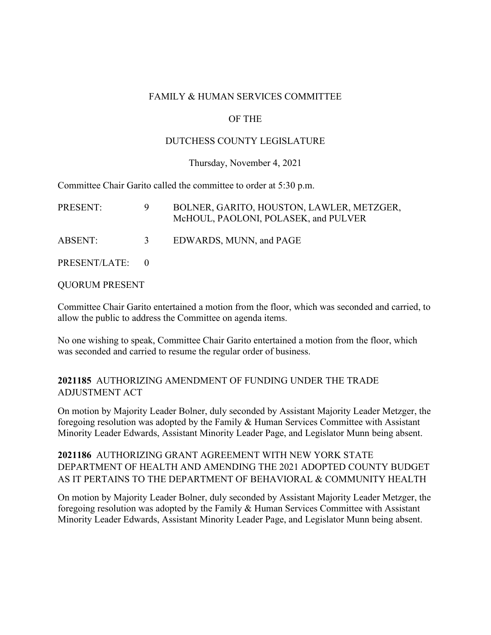#### FAMILY & HUMAN SERVICES COMMITTEE

# OF THE

### DUTCHESS COUNTY LEGISLATURE

#### Thursday, November 4, 2021

Committee Chair Garito called the committee to order at 5:30 p.m.

| <b>PRESENT:</b> | -9.           | BOLNER, GARITO, HOUSTON, LAWLER, METZGER,<br>McHOUL, PAOLONI, POLASEK, and PULVER |
|-----------------|---------------|-----------------------------------------------------------------------------------|
| ABSENT:         | $\mathcal{E}$ | EDWARDS, MUNN, and PAGE                                                           |
| PRESENT/LATE: 0 |               |                                                                                   |

QUORUM PRESENT

Committee Chair Garito entertained a motion from the floor, which was seconded and carried, to allow the public to address the Committee on agenda items.

No one wishing to speak, Committee Chair Garito entertained a motion from the floor, which was seconded and carried to resume the regular order of business.

## **2021185** AUTHORIZING AMENDMENT OF FUNDING UNDER THE TRADE ADJUSTMENT ACT

On motion by Majority Leader Bolner, duly seconded by Assistant Majority Leader Metzger, the foregoing resolution was adopted by the Family & Human Services Committee with Assistant Minority Leader Edwards, Assistant Minority Leader Page, and Legislator Munn being absent.

**2021186** AUTHORIZING GRANT AGREEMENT WITH NEW YORK STATE DEPARTMENT OF HEALTH AND AMENDING THE 2021 ADOPTED COUNTY BUDGET AS IT PERTAINS TO THE DEPARTMENT OF BEHAVIORAL & COMMUNITY HEALTH

On motion by Majority Leader Bolner, duly seconded by Assistant Majority Leader Metzger, the foregoing resolution was adopted by the Family & Human Services Committee with Assistant Minority Leader Edwards, Assistant Minority Leader Page, and Legislator Munn being absent.